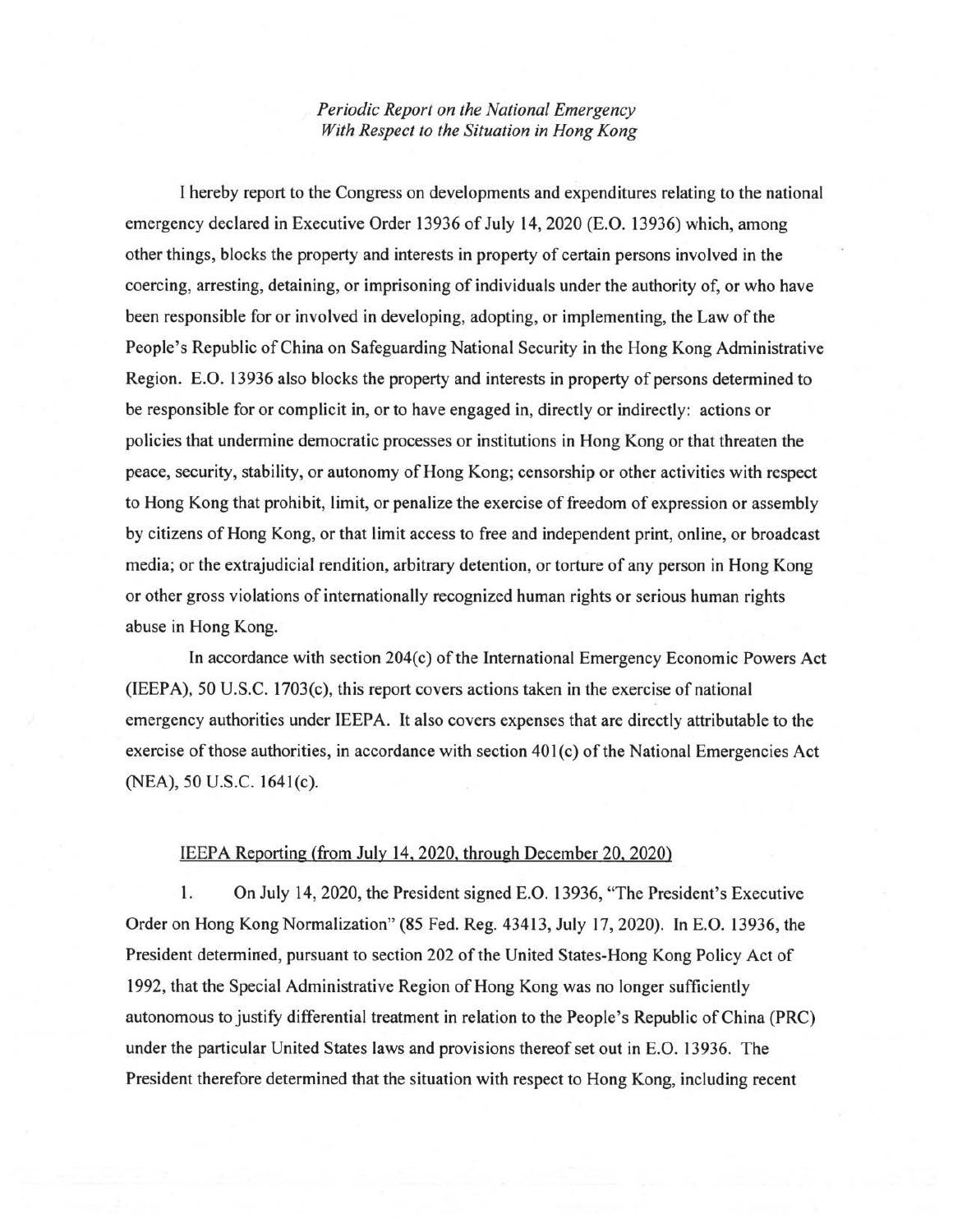*Periodic Report on the National Emergency With Respect to the Situation in Hong Kong* 

I hereby report to the Congress on developments and expenditures relating to the national emergency declared in Executive Order 13936 of July 14, 2020 (E.O. 13936) which, among other things, blocks the property and interests in property of certain persons involved in the coercing, arresting, detaining, or imprisoning of individuals under the authority of, or who have been responsible for or involved in developing, adopting, or implementing, the Law of the People's Republic of China on Safeguarding National Security in the Hong Kong Administrative Region. E.O. 13936 also blocks the property and interests in property of persons determined to be responsible for or complicit in, or to have engaged in, directly or indirectly: actions or policies that undermine democratic processes or institutions in Hong Kong or that threaten the peace, security, stability, or autonomy of Hong Kong; censorship or other activities with respect to Hong Kong that prohibit, limit, or penalize the exercise of freedom of expression or assembly by citizens of Hong Kong, or that limit access to free and independent print, online, or broadcast media; or the extrajudicial rendition, arbitrary detention, or torture of any person in Hong Kong or other gross violations of internationally recognized human rights or serious human rights abuse in Hong Kong.

In accordance with section 204(c) of the International Emergency Economic Powers Act (IEEPA), 50 U.S.C. 1703(c), this report covers actions taken in the exercise of national emergency authorities under IEEPA. It also covers expenses that are directly attributable to the exercise of those authorities, in accordance with section 401(c) of the National Emergencies Act (NEA), 50 U.S.C. 1641(c).

## IEEPA Reporting (from July 14, 2020, through December 20, 2020)

1. On July 14, 2020, the President signed E.O. 13936, "The President's Executive Order on Hong Kong Normalization" (85 Fed. Reg. 43413, July 17, 2020). In E.O. 13936, the President determined, pursuant to section 202 of the United States-Hong Kong Policy Act of 1992, that the Special Administrative Region of Hong Kong was no longer sufficiently autonomous to justify differential treatment in relation to the People's Republic of China (PRC) under the particular United States laws and provisions thereof set out in E.O. 13936. The President therefore determined that the situation with respect to Hong Kong, including recent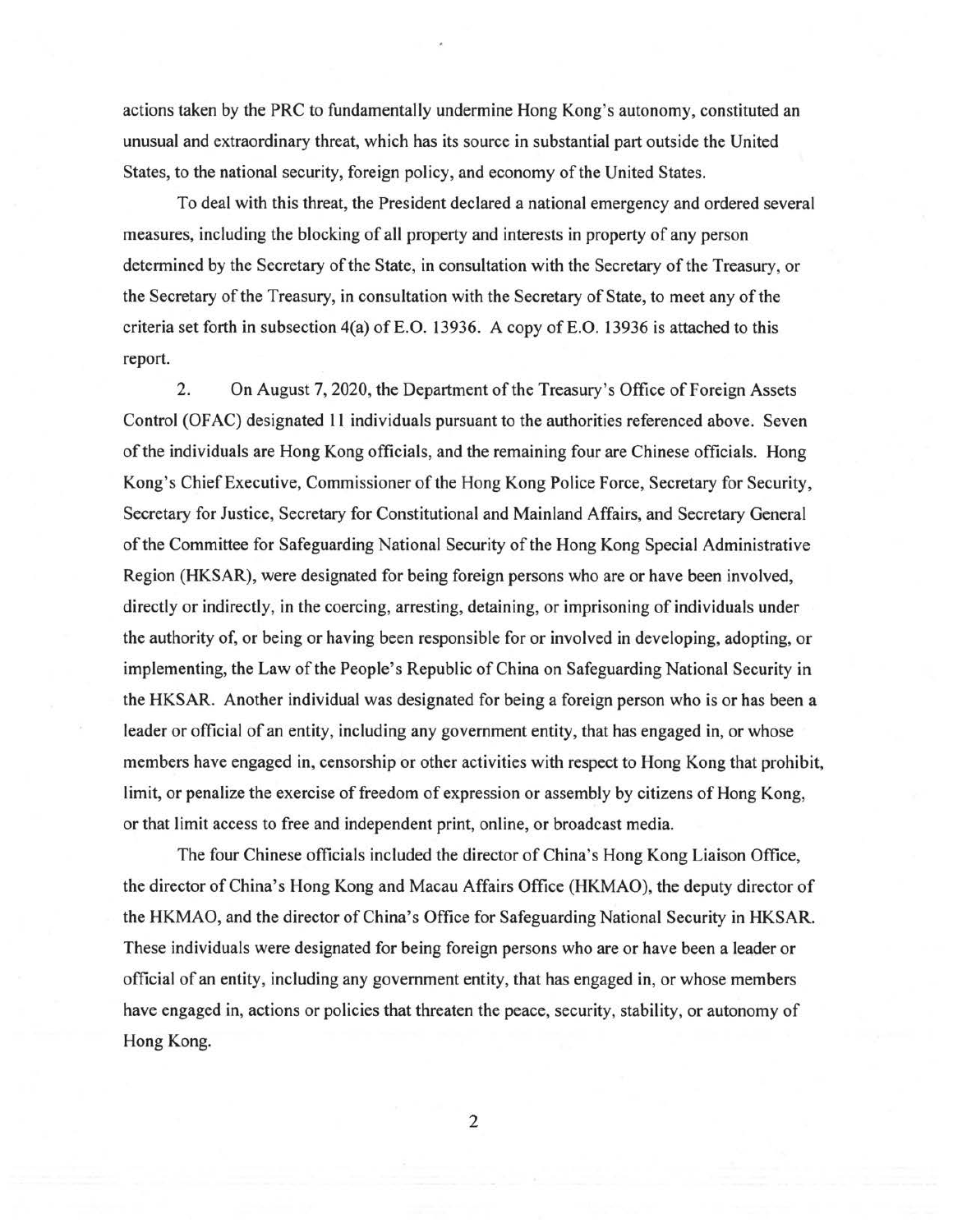actions taken by the PRC to fundamentally undermine Hong Kong's autonomy, constituted an unusual and extraordinary threat, which has its source in substantial part outside the United States, to the national security, foreign policy, and economy of the United States.

To deal with this threat, the President declared a national emergency and ordered several measures, including the blocking of all property and interests in property of any person determined by the Secretary of the State, in consultation with the Secretary of the Treasury, or the Secretary of the Treasury, in consultation with the Secretary of State, to meet any of the criteria set forth in subsection  $4(a)$  of E.O. 13936. A copy of E.O. 13936 is attached to this report.

2. On August 7, 2020, the Department of the Treasury's Office of Foreign Assets Control (OFAC) designated 11 individuals pursuant to the authorities referenced above. Seven of the individuals are Hong Kong officials, and the remaining four are Chinese officials. Hong Kong's Chief Executive, Commissioner of the Hong Kong Police Force, Secretary for Security, Secretary for Justice, Secretary for Constitutional and Mainland Affairs, and Secretary General of the Committee for Safeguarding National Security of the Hong Kong Special Administrative Region (HKSAR), were designated for being foreign persons who are or have been involved, directly or indirectly, in the coercing, arresting, detaining, or imprisoning of individuals under the authority of, or being or having been responsible for or involved in developing, adopting, or implementing, the Law of the People's Republic of China on Safeguarding National Security in the HKSAR. Another individual was designated for being a foreign person who is or has been a leader or official of an entity, including any government entity, that has engaged in, or whose members have engaged in, censorship or other activities with respect to Hong Kong that prohibit, limit, or penalize the exercise of freedom of expression or assembly by citizens of Hong Kong, or that limit access to free and independent print, online, or broadcast media.

The four Chinese officials included the director of China's Hong Kong Liaison Office, the director of China's Hong Kong and Macau Affairs Office (HKMAO), the deputy director of the HKMAO, and the director of China's Office for Safeguarding National Security in HKSAR. These individuals were designated for being foreign persons who are or have been a leader or official of an entity, including any government entity, that has engaged in, or whose members have engaged in, actions or policies that threaten the peace, security, stability, or autonomy of Hong Kong.

2